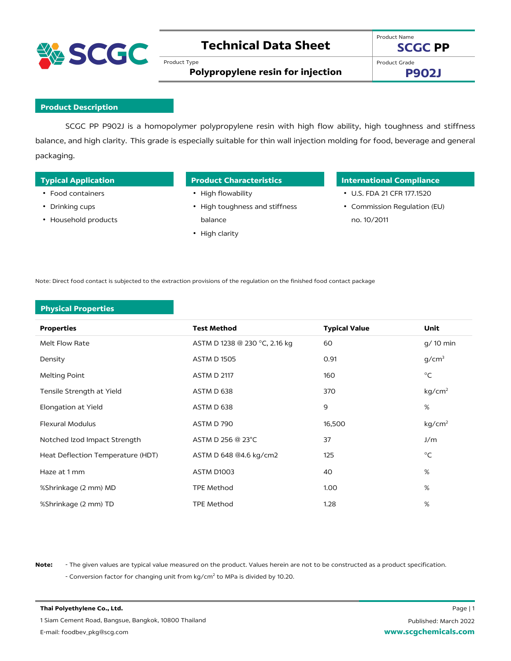

# **Technical Data Sheet**

Product Type

Product Name **SCGC PP**

Product Grade

**Polypropylene resin for injection**

**P902J**

## **Product Description**

SCGC PP P902J is a homopolymer polypropylene resin with high flow ability, high toughness and stiffness balance, and high clarity. This grade is especially suitable for thin wall injection molding for food, beverage and general packaging.

- Food containers
- Drinking cups
- Household products

- High flowability
- High toughness and stiffness balance
- High clarity

## **Typical Application Product Characteristics International Compliance**

- U.S. FDA 21 CFR 177.1520
- Commission Regulation (EU) no. 10/2011

Note: Direct food contact is subjected to the extraction provisions of the regulation on the finished food contact package

### **Physical Properties**

| <b>Properties</b>                 | <b>Test Method</b>            | <b>Typical Value</b> | Unit               |
|-----------------------------------|-------------------------------|----------------------|--------------------|
| Melt Flow Rate                    | ASTM D 1238 @ 230 °C, 2.16 kg | 60                   | g/ 10 min          |
| Density                           | <b>ASTM D 1505</b>            | 0.91                 | g/cm <sup>3</sup>  |
| Melting Point                     | <b>ASTM D 2117</b>            | 160                  | $^{\circ}$ C       |
| Tensile Strength at Yield         | ASTM D 638                    | 370                  | kg/cm <sup>2</sup> |
| Elongation at Yield               | ASTM D 638                    | 9                    | %                  |
| <b>Flexural Modulus</b>           | ASTM D 790                    | 16,500               | kg/cm <sup>2</sup> |
| Notched Izod Impact Strength      | ASTM D 256 @ 23°C             | 37                   | J/m                |
| Heat Deflection Temperature (HDT) | ASTM D 648 @4.6 kg/cm2        | 125                  | $^{\circ}$ C       |
| Haze at 1 mm                      | ASTM D1003                    | 40                   | %                  |
| %Shrinkage (2 mm) MD              | <b>TPE Method</b>             | 1.00                 | %                  |
| %Shrinkage (2 mm) TD              | <b>TPE Method</b>             | 1.28                 | $\%$               |

**Note:** - The given values are typical value measured on the product. Values herein are not to be constructed as a product specification. - Conversion factor for changing unit from  $kg/cm<sup>2</sup>$  to MPa is divided by 10.20.

**Thai Polyethylene Co., Ltd.** Page | 1 1 Siam Cement Road, Bangsue, Bangkok, 10800 Thailand E-mail: foodbev\_pkg@scg.com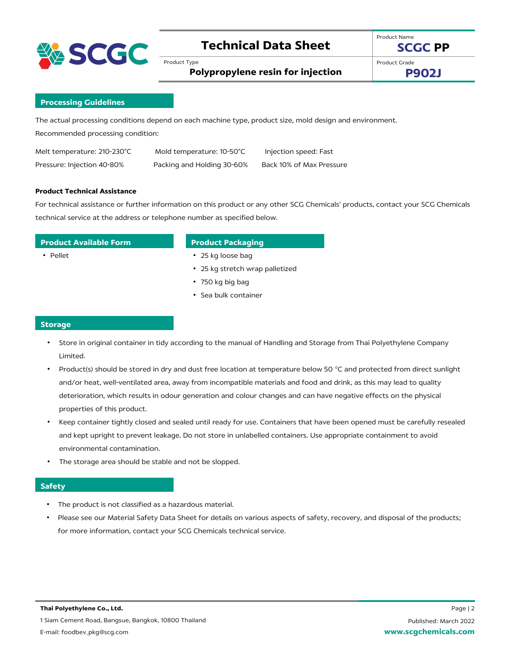

# **Technical Data Sheet**

Product Type

Product Name **SCGC PP**

**Polypropylene resin for injection**

Product Grade **P902J**

### **Processing Guidelines**

The actual processing conditions depend on each machine type, product size, mold design and environment. Recommended processing condition:

| Melt temperature: 210-230°C | Mold temperature: 10-50°C  | Injection speed: Fast    |
|-----------------------------|----------------------------|--------------------------|
| Pressure: Injection 40-80%  | Packing and Holding 30-60% | Back 10% of Max Pressure |

#### **Product Technical Assistance**

For technical assistance or further information on this product or any other SCG Chemicals' products, contact your SCG Chemicals technical service at the address or telephone number as specified below.

## **Product Available Form Product Packaging**

- 
- Pellet 25 kg loose bag
	- 25 kg stretch wrap palletized
	- 750 kg big bag
	- Sea bulk container

#### **Storage**

- Store in original container in tidy according to the manual of Handling and Storage from Thai Polyethylene Company Limited.
- Product(s) should be stored in dry and dust free location at temperature below 50 °C and protected from direct sunlight and/or heat, well-ventilated area, away from incompatible materials and food and drink, as this may lead to quality deterioration, which results in odour generation and colour changes and can have negative effects on the physical properties of this product.
- Keep container tightly closed and sealed until ready for use. Containers that have been opened must be carefully resealed and kept upright to prevent leakage. Do not store in unlabelled containers. Use appropriate containment to avoid environmental contamination.
- The storage area should be stable and not be slopped.

#### **Safety**

- The product is not classified as a hazardous material.
- Please see our Material Safety Data Sheet for details on various aspects of safety, recovery, and disposal of the products; for more information, contact your SCG Chemicals technical service.